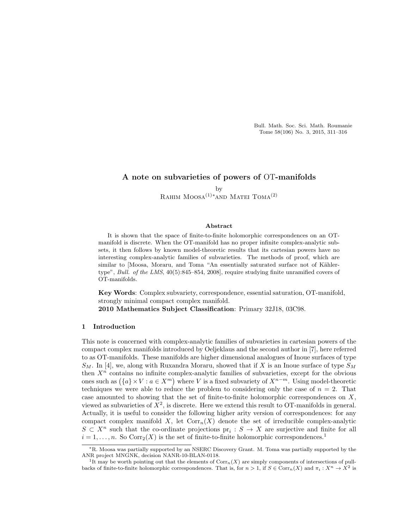Bull. Math. Soc. Sci. Math. Roumanie Tome 58(106) No. 3, 2015, 311–316

# A note on subvarieties of powers of OT-manifolds

by RAHIM MOOSA<sup>(1)</sup><sup>\*</sup>AND MATEI TOMA<sup>(2)</sup>

#### Abstract

It is shown that the space of finite-to-finite holomorphic correspondences on an OTmanifold is discrete. When the OT-manifold has no proper infinite complex-analytic subsets, it then follows by known model-theoretic results that its cartesian powers have no interesting complex-analytic families of subvarieties. The methods of proof, which are similar to [Moosa, Moraru, and Toma "An essentially saturated surface not of Kählertype", *Bull. of the LMS*, 40(5):845–854, 2008], require studying finite unramified covers of OT-manifolds.

Key Words: Complex subvariety, correspondence, essential saturation, OT-manifold, strongly minimal compact complex manifold.

2010 Mathematics Subject Classification: Primary 32J18, 03C98.

## 1 Introduction

This note is concerned with complex-analytic families of subvarieties in cartesian powers of the compact complex manifolds introduced by Oeljeklaus and the second author in [7], here referred to as OT-manifolds. These manifolds are higher dimensional analogues of Inoue surfaces of type  $S_M$ . In [4], we, along with Ruxandra Moraru, showed that if X is an Inoue surface of type  $S_M$ then  $X<sup>n</sup>$  contains no infinite complex-analytic families of subvarieties, except for the obvious ones such as  $({a} \times V : a \in X<sup>m</sup>)$  where V is a fixed subvariety of  $X^{n-m}$ . Using model-theoretic techniques we were able to reduce the problem to considering only the case of  $n = 2$ . That case amounted to showing that the set of finite-to-finite holomorphic correspondences on  $X$ , viewed as subvarieties of  $\overline{X}^2$ , is discrete. Here we extend this result to OT-manifolds in general. Actually, it is useful to consider the following higher arity version of correspondences: for any compact complex manifold X, let  $Corr_n(X)$  denote the set of irreducible complex-analytic  $S \subset X^n$  such that the co-ordinate projections  $pr_i : S \to X$  are surjective and finite for all  $i = 1, \ldots, n$ . So Corr<sub>2</sub>(X) is the set of finite-to-finite holomorphic correspondences.<sup>1</sup>

<sup>∗</sup>R. Moosa was partially supported by an NSERC Discovery Grant. M. Toma was partially supported by the ANR project MNGNK, decision NANR-10-BLAN-0118.

<sup>&</sup>lt;sup>1</sup>It may be worth pointing out that the elements of  $Corr<sub>n</sub>(X)$  are simply components of intersections of pullbacks of finite-to-finite holomorphic correspondences. That is, for  $n > 1$ , if  $S \in \text{Corr}_n(X)$  and  $\pi_i : X^n \to X^2$  is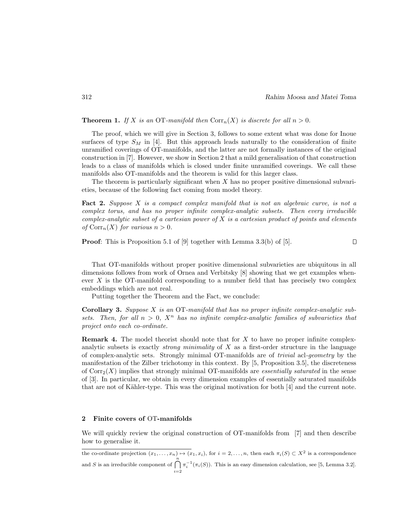**Theorem 1.** If X is an OT-manifold then  $Corr_n(X)$  is discrete for all  $n > 0$ .

The proof, which we will give in Section 3, follows to some extent what was done for Inoue surfaces of type  $S_M$  in [4]. But this approach leads naturally to the consideration of finite unramified coverings of OT-manifolds, and the latter are not formally instances of the original construction in [7]. However, we show in Section 2 that a mild generalisation of that construction leads to a class of manifolds which is closed under finite unramified coverings. We call these manifolds also OT-manifolds and the theorem is valid for this larger class.

The theorem is particularly significant when  $X$  has no proper positive dimensional subvarieties, because of the following fact coming from model theory.

Fact 2. *Suppose* X *is a compact complex manifold that is not an algebraic curve, is not a complex torus, and has no proper infinite complex-analytic subsets. Then every irreducible complex-analytic subset of a cartesian power of* X *is a cartesian product of points and elements of*  $Corr_n(X)$  *for various*  $n > 0$ *.* 

Proof: This is Proposition 5.1 of [9] together with Lemma 3.3(b) of [5].  $\Box$ 

That OT-manifolds without proper positive dimensional subvarieties are ubiquitous in all dimensions follows from work of Ornea and Verbitsky [8] showing that we get examples whenever X is the OT-manifold corresponding to a number field that has precisely two complex embeddings which are not real.

Putting together the Theorem and the Fact, we conclude:

Corollary 3. *Suppose* X *is an* OT*-manifold that has no proper infinite complex-analytic subsets.* Then, for all  $n > 0$ ,  $X<sup>n</sup>$  has no infinite complex-analytic families of subvarieties that *project onto each co-ordinate.*

**Remark 4.** The model theorist should note that for  $X$  to have no proper infinite complexanalytic subsets is exactly *strong minimality* of X as a first-order structure in the language of complex-analytic sets. Strongly minimal OT-manifolds are of *trivial* acl*-geometry* by the manifestation of the Zilber trichotomy in this context. By [5, Proposition 3.5], the discreteness of  $Corr<sub>2</sub>(X)$  implies that strongly minimal OT-manifolds are *essentially saturated* in the sense of [3]. In particular, we obtain in every dimension examples of essentially saturated manifolds that are not of Kähler-type. This was the original motivation for both  $[4]$  and the current note.

## 2 Finite covers of OT-manifolds

We will quickly review the original construction of OT-manifolds from [7] and then describe how to generalise it.

the co-ordinate projection  $(x_1,...,x_n) \mapsto (x_1,x_i)$ , for  $i = 2,...,n$ , then each  $\pi_i(S) \subset X^2$  is a correspondence and S is an irreducible component of  $\bigcap^{n}$ *i*=2  $\pi_i^{-1}(\pi_i(S))$ . This is an easy dimension calculation, see [5, Lemma 3.2].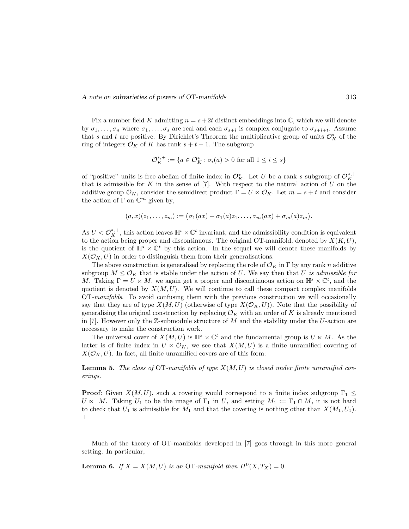*A note on subvarieties of powers of* OT*-manifolds* 313

Fix a number field K admitting  $n = s + 2t$  distinct embeddings into C, which we will denote by  $\sigma_1,\ldots,\sigma_n$  where  $\sigma_1,\ldots,\sigma_s$  are real and each  $\sigma_{s+i}$  is complex conjugate to  $\sigma_{s+i+t}$ . Assume that s and t are positive. By Dirichlet's Theorem the multiplicative group of units  $\mathcal{O}_K^*$  of the ring of integers  $\mathcal{O}_K$  of K has rank  $s + t - 1$ . The subgroup

$$
\mathcal{O}_{K}^{*,+} := \{ a \in \mathcal{O}_{K}^{*} : \sigma_{i}(a) > 0 \text{ for all } 1 \leq i \leq s \}
$$

of "positive" units is free abelian of finite index in  $\mathcal{O}_K^*$ . Let U be a rank s subgroup of  $\mathcal{O}_K^{*,+}$ that is admissible for K in the sense of [7]. With respect to the natural action of U on the additive group  $\mathcal{O}_K$ , consider the semidirect product  $\Gamma = U \ltimes \mathcal{O}_K$ . Let  $m = s + t$  and consider the action of  $\Gamma$  on  $\mathbb{C}^m$  given by,

$$
(a,x)(z_1,\ldots,z_m):=\big(\sigma_1(ax)+\sigma_1(a)z_1,\ldots,\sigma_m(ax)+\sigma_m(a)z_m\big).
$$

As  $U < \mathcal{O}_{K}^{*,+}$ , this action leaves  $\mathbb{H}^{s} \times \mathbb{C}^{t}$  invariant, and the admissibility condition is equivalent to the action being proper and discontinuous. The original OT-manifold, denoted by  $X(K, U)$ , is the quotient of  $\mathbb{H}^s \times \mathbb{C}^t$  by this action. In the sequel we will denote these manifolds by  $X(\mathcal{O}_K, U)$  in order to distinguish them from their generalisations.

The above construction is generalised by replacing the role of  $\mathcal{O}_K$  in Γ by any rank n additive subgroup  $M \leq \mathcal{O}_K$  that is stable under the action of U. We say then that U *is admissible for* M. Taking  $\Gamma = U \ltimes M$ , we again get a proper and discontinuous action on  $\mathbb{H}^s \times \mathbb{C}^t$ , and the quotient is denoted by  $X(M,U)$ . We will continue to call these compact complex manifolds OT*-manifolds*. To avoid confusing them with the previous construction we will occasionally say that they are of type  $X(M, U)$  (otherwise of type  $X(\mathcal{O}_K, U)$ ). Note that the possibility of generalising the original construction by replacing  $\mathcal{O}_K$  with an order of K is already mentioned in [7]. However only the  $\mathbb{Z}$ -submodule structure of M and the stability under the U-action are necessary to make the construction work.

The universal cover of  $X(M,U)$  is  $\mathbb{H}^s \times \mathbb{C}^t$  and the fundamental group is  $U \ltimes M$ . As the latter is of finite index in  $U \times \mathcal{O}_K$ , we see that  $X(M,U)$  is a finite unramified covering of  $X(\mathcal{O}_K, U)$ . In fact, all finite unramified covers are of this form:

Lemma 5. *The class of* OT*-manifolds of type* X(M,U) *is closed under finite unramified coverings.*

**Proof:** Given  $X(M, U)$ , such a covering would correspond to a finite index subgroup  $\Gamma_1 \leq$  $U \ltimes M$ . Taking  $U_1$  to be the image of  $\Gamma_1$  in U, and setting  $M_1 := \Gamma_1 \cap M$ , it is not hard to check that  $U_1$  is admissible for  $M_1$  and that the covering is nothing other than  $X(M_1, U_1)$ . П

Much of the theory of OT-manifolds developed in [7] goes through in this more general setting. In particular,

**Lemma 6.** *If*  $X = X(M, U)$  *is an* OT-manifold then  $H^0(X, T_X) = 0$ .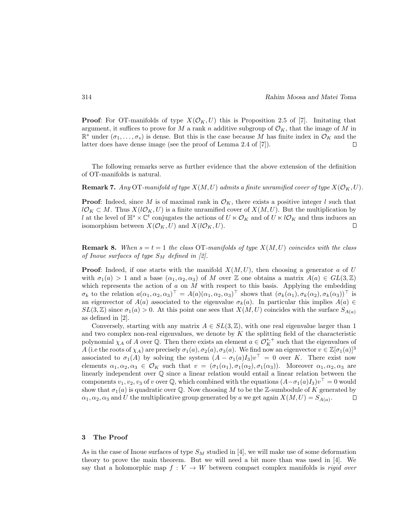**Proof:** For OT-manifolds of type  $X(\mathcal{O}_K, U)$  this is Proposition 2.5 of [7]. Imitating that argument, it suffices to prove for M a rank n additive subgroup of  $\mathcal{O}_K$ , that the image of M in  $\mathbb{R}^s$  under  $(\sigma_1,\ldots,\sigma_s)$  is dense. But this is the case because M has finite index in  $\mathcal{O}_K$  and the latter does have dense image (see the proof of Lemma 2.4 of [7]). latter does have dense image (see the proof of Lemma 2.4 of [7]).

The following remarks serve as further evidence that the above extension of the definition of OT-manifolds is natural.

**Remark 7.** Any OT-manifold of type  $X(M, U)$  admits a finite unramified cover of type  $X(\mathcal{O}_K, U)$ .

**Proof:** Indeed, since M is of maximal rank in  $\mathcal{O}_K$ , there exists a positive integer l such that  $l\mathcal{O}_K \subset M$ . Thus  $X(l\mathcal{O}_K, U)$  is a finite unramified cover of  $X(M, U)$ . But the multiplication by l at the level of  $\mathbb{H}^s \times \mathbb{C}^t$  conjugates the actions of  $U \times \mathcal{O}_K$  and of  $U \times l\mathcal{O}_K$  and thus induces an isomorphism between  $X(\mathcal{O}_K, U)$  and  $X(l\mathcal{O}_K, U)$ . isomorphism between  $X(\mathcal{O}_K, U)$  and  $X(l\mathcal{O}_K, U)$ .

**Remark 8.** When  $s = t = 1$  the class OT-manifolds of type  $X(M, U)$  coincides with the class *of Inoue surfaces of type*  $S_M$  *defined in [2].* 

**Proof:** Indeed, if one starts with the manifold  $X(M, U)$ , then choosing a generator a of U with  $\sigma_1(a) > 1$  and a base  $(\alpha_1, \alpha_2, \alpha_3)$  of M over Z one obtains a matrix  $A(a) \in GL(3,\mathbb{Z})$ which represents the action of  $a$  on  $M$  with respect to this basis. Applying the embedding  $\sigma_k$  to the relation  $a(\alpha_1, \alpha_2, \alpha_3)^\top = A(a)(\alpha_1, \alpha_2, \alpha_3)^\top$  shows that  $(\sigma_k(\alpha_1), \sigma_k(\alpha_2), \sigma_k(\alpha_3))^\top$  is an eigenvector of  $A(a)$  associated to the eigenvalue  $\sigma_k(a)$ . In particular this implies  $A(a) \in$  $SL(3,\mathbb{Z})$  since  $\sigma_1(a) > 0$ . At this point one sees that  $X(M,U)$  coincides with the surface  $S_{A(a)}$ as defined in [2].

Conversely, starting with any matrix  $A \in SL(3, \mathbb{Z})$ , with one real eigenvalue larger than 1 and two complex non-real eigenvalues, we denote by  $K$  the splitting field of the characteristic polynomial  $\chi_A$  of A over Q. Then there exists an element  $a \in \mathcal{O}_K^{*,+}$  such that the eigenvalues of A (i.e the roots of  $\chi_A$ ) are precisely  $\sigma_1(a), \sigma_2(a), \sigma_3(a)$ . We find now an eigenvector  $v \in \mathbb{Z}[\sigma_1(a)]^3$ associated to  $\sigma_1(A)$  by solving the system  $(A - \sigma_1(a)I_3)v^\top = 0$  over K. There exist now elements  $\alpha_1, \alpha_2, \alpha_3 \in \mathcal{O}_K$  such that  $v = (\sigma_1(\alpha_1), \sigma_1(\alpha_2), \sigma_1(\alpha_3))$ . Moreover  $\alpha_1, \alpha_2, \alpha_3$  are linearly independent over Q since a linear relation would entail a linear relation between the components  $v_1, v_2, v_3$  of v over  $\mathbb{Q}$ , which combined with the equations  $(A - \sigma_1(a)I_3)v^\top = 0$  would show that  $\sigma_1(a)$  is quadratic over Q. Now choosing M to be the Z-sumbodule of K generated by  $\alpha_1, \alpha_2, \alpha_3$  and U the multiplicative group generated by a we get again  $X(M, U) = S_{A(a)}$ .  $\Box$ 

### 3 The Proof

As in the case of Inoue surfaces of type  $S_M$  studied in [4], we will make use of some deformation theory to prove the main theorem. But we will need a bit more than was used in [4]. We say that a holomorphic map  $f: V \to W$  between compact complex manifolds is *rigid over*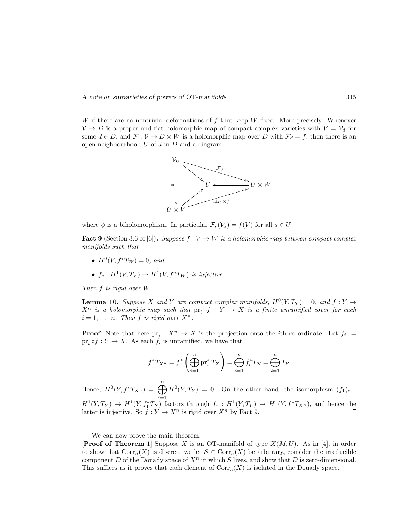W if there are no nontrivial deformations of  $f$  that keep  $W$  fixed. More precisely: Whenever  $V \to D$  is a proper and flat holomorphic map of compact complex varieties with  $V = V_d$  for some  $d \in D$ , and  $\mathcal{F} : \mathcal{V} \to D \times W$  is a holomorphic map over D with  $\mathcal{F}_d = f$ , then there is an open neighbourhood  $U$  of  $d$  in  $D$  and a diagram



where  $\phi$  is a biholomorphism. In particular  $\mathcal{F}_s(\mathcal{V}_s) = f(V)$  for all  $s \in U$ .

**Fact 9** (Section 3.6 of [6]). *Suppose*  $f: V \to W$  *is a holomorphic map between compact complex manifolds such that*

- $H^0(V, f^*T_W) = 0$ , and
- $f_* : H^1(V, T_V) \to H^1(V, f^*T_W)$  *is injective.*

*Then* f *is rigid over* W*.*

**Lemma 10.** Suppose X and Y are compact complex manifolds,  $H^0(Y, T_Y) = 0$ , and  $f: Y \to Y$  $X^n$  *is a holomorphic map such that*  $pr_i \circ f : Y \to X$  *is a finite unramified cover for each*  $i = 1, \ldots, n$ *. Then* f *is rigid over*  $X^n$ *.* 

**Proof:** Note that here  $pr_i : X^n \to X$  is the projection onto the *i*th co-ordinate. Let  $f_i :=$  $pr_i \circ f : Y \to X$ . As each  $f_i$  is unramified, we have that

$$
f^*T_{X^n} = f^* \left( \bigoplus_{i=1}^n \text{pr}_i^* T_X \right) = \bigoplus_{i=1}^n f_i^* T_X = \bigoplus_{i=1}^n T_Y
$$

Hence,  $H^0(Y, f^*T_{X^n}) = \bigoplus^n$  $i=1$  $H^0(Y,T_Y) = 0$ . On the other hand, the isomorphism  $(f_1)_*$ :  $H^1(Y,T_Y) \to H^1(Y, f_1^*T_X)$  factors through  $f_* : H^1(Y,T_Y) \to H^1(Y, f^*T_{X^n})$ , and hence the latter is injective. So  $f: Y \to X^n$  is rigid over  $X^n$  by Fact 9.

We can now prove the main theorem.

**Proof of Theorem** 1 Suppose X is an OT-manifold of type  $X(M,U)$ . As in [4], in order to show that  $Corr_n(X)$  is discrete we let  $S \in Corr_n(X)$  be arbitrary, consider the irreducible component D of the Douady space of  $X^n$  in which S lives, and show that D is zero-dimensional. This suffices as it proves that each element of  $Corr<sub>n</sub>(X)$  is isolated in the Douady space.